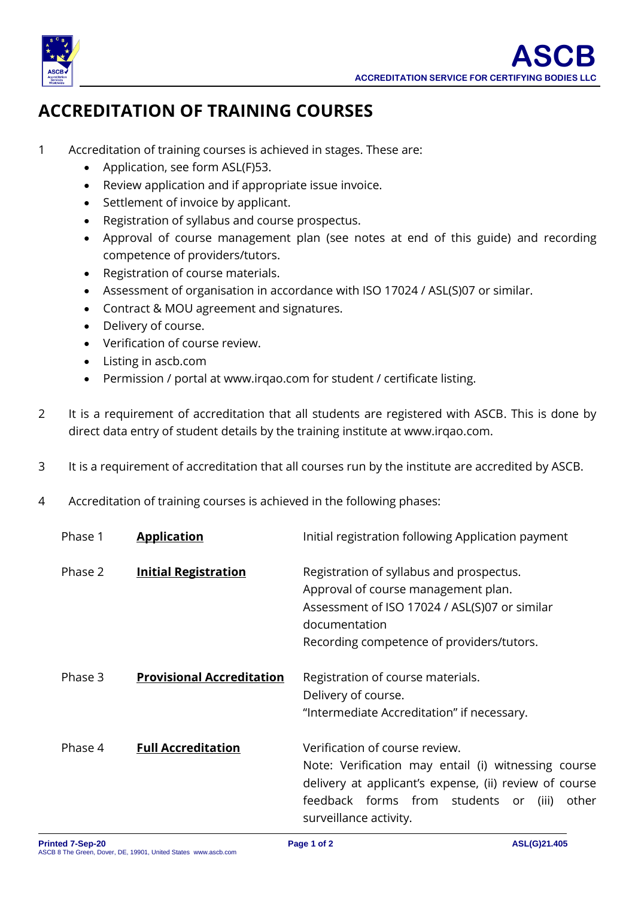

## **ACCREDITATION OF TRAINING COURSES**

- 1 Accreditation of training courses is achieved in stages. These are:
	- Application, see form ASL(F)53.
	- Review application and if appropriate issue invoice.
	- Settlement of invoice by applicant.
	- Registration of syllabus and course prospectus.
	- Approval of course management plan (see notes at end of this guide) and recording competence of providers/tutors.
	- Registration of course materials.
	- Assessment of organisation in accordance with ISO 17024 / ASL(S)07 or similar.
	- Contract & MOU agreement and signatures.
	- Delivery of course.
	- Verification of course review.
	- Listing in ascb.com
	- Permission / portal at [www.irqao.](http://www.irqao/)com for student / certificate listing.
- 2 It is a requirement of accreditation that all students are registered with ASCB. This is done by direct data entry of student details by the training institute at www.irqao.com.
- 3 It is a requirement of accreditation that all courses run by the institute are accredited by ASCB.
- 4 Accreditation of training courses is achieved in the following phases:

| Phase 1 | <b>Application</b>               | Initial registration following Application payment                                                                                                                                                                             |
|---------|----------------------------------|--------------------------------------------------------------------------------------------------------------------------------------------------------------------------------------------------------------------------------|
| Phase 2 | <b>Initial Registration</b>      | Registration of syllabus and prospectus.<br>Approval of course management plan.<br>Assessment of ISO 17024 / ASL(S)07 or similar<br>documentation<br>Recording competence of providers/tutors.                                 |
| Phase 3 | <b>Provisional Accreditation</b> | Registration of course materials.<br>Delivery of course.<br>"Intermediate Accreditation" if necessary.                                                                                                                         |
| Phase 4 | <b>Full Accreditation</b>        | Verification of course review.<br>Note: Verification may entail (i) witnessing course<br>delivery at applicant's expense, (ii) review of course<br>feedback forms from students or<br>other<br>(iii)<br>surveillance activity. |